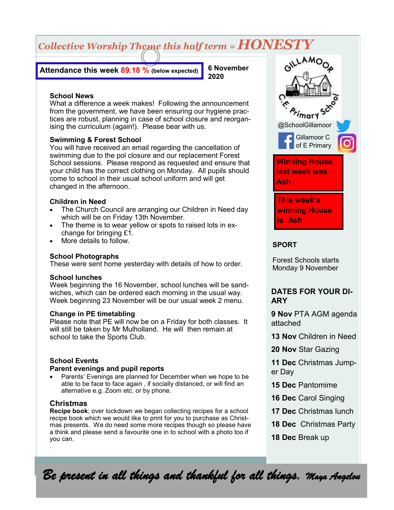# *Collective Worship Theme this half term = HONESTY*

**Attendance this week 89.18 % (below expected)**

**6 November 2020**

### **School News**

What a difference a week makes! Following the announcement from the government, we have been ensuring our hygiene practices are robust, planning in case of school closure and reorganising the curriculum (again!). Please bear with us.

## **Swimming & Forest School**

You will have received an email regarding the cancellation of swimming due to the pol closure and our replacement Forest School sessions. Please respond as requested and ensure that your child has the correct clothing on Monday. All pupils should come to school in their usual school uniform and will get changed in the afternoon.

#### **Children in Need**

- The Church Council are arranging our Children in Need day which will be on Friday 13th November.
- The theme is to wear yellow or spots to raised lots in exchange for bringing £1.
- More details to follow.

#### **School Photographs**

These were sent home yesterday with details of how to order.

#### **School lunches**

Week beginning the 16 November, school lunches will be sandwiches, which can be ordered each morning in the usual way. Week beginning 23 November will be our usual week 2 menu.

#### **Change in PE timetabling**

Please note that PE will now be on a Friday for both classes. It will still be taken by Mr Mulholland. He will then remain at school to take the Sports Club.

# **School Events**

#### **Parent evenings and pupil reports**

Parents' Evenings are planned for December when we hope to be able to be face to face again , if socially distanced, or will find an alternative e.g. Zoom etc. or by phone.

#### **Christmas**

**Recipe book**; over lockdown we began collecting recipes for a school recipe book which we would like to print for you to purchase as Christmas presents. We do need some more recipes though so please have a think and please send a favourite one in to school with a photo too if you can. .



## **SPORT**

Forest Schools starts Monday 9 November

# **DATES FOR YOUR DI-ARY**

**9 Nov** PTA AGM agenda attached

**13 Nov** Children in Need

**20 Nov** Star Gazing

**11 Dec** Christmas Jumper Day

- **15 Dec** Pantomime
- **16 Dec** Carol Singing
- **17 Dec** Christmas lunch
- **18 Dec** Christmas Party
- **18 Dec** Break up

*Be present in all things and thankful for all things. Maya Angelou*